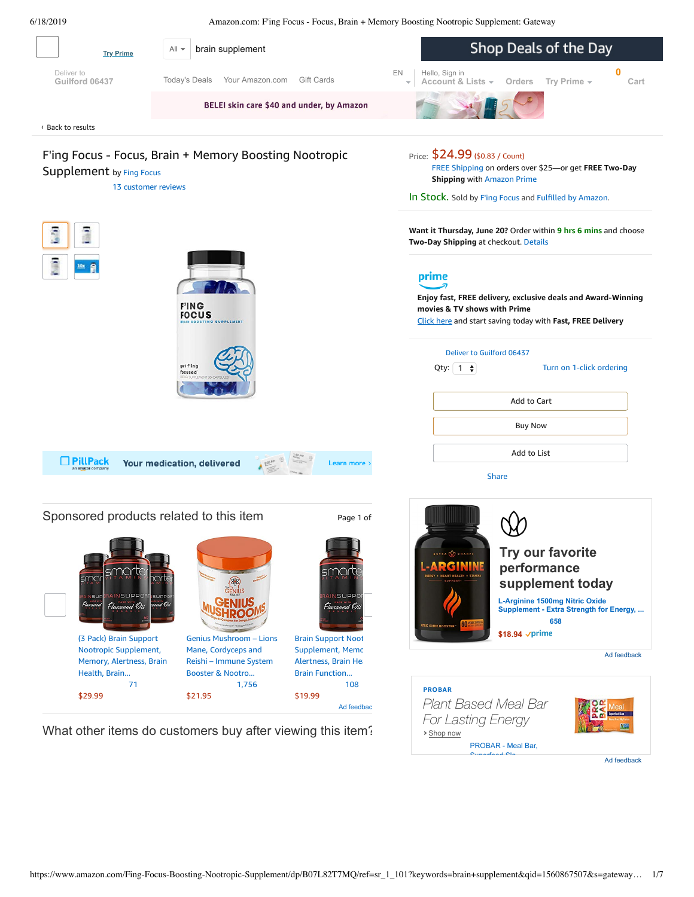<span id="page-0-0"></span>

Ad feedback

Superfood Sla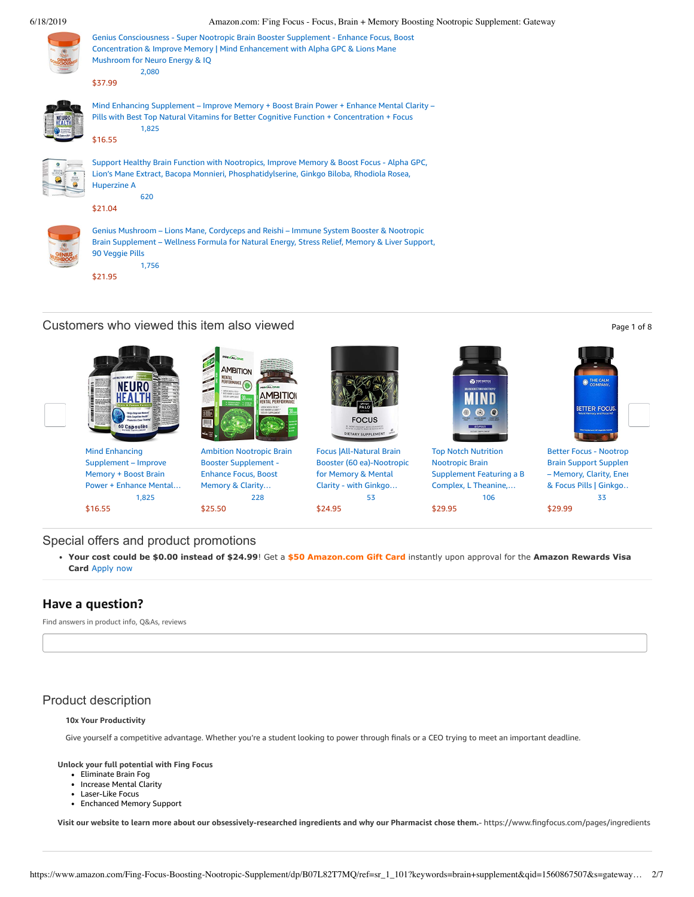

| Genius Consciousness - Super Nootropic Brain Booster Supplement - Enhance Focus, Boost<br>Concentration & Improve Memory   Mind Enhancement with Alpha GPC & Lions Mane<br>Mushroom for Neuro Energy & IQ<br>2,080 |
|--------------------------------------------------------------------------------------------------------------------------------------------------------------------------------------------------------------------|
| \$37.99                                                                                                                                                                                                            |
| Mind Enhancing Supplement – Improve Memory + Boost Brain Power + Enhance Mental Clarity –<br>Pills with Best Top Natural Vitamins for Better Cognitive Function + Concentration + Focus<br>1,825                   |
| \$16.55                                                                                                                                                                                                            |
| Support Healthy Brain Function with Nootropics, Improve Memory & Boost Focus - Alpha GPC,<br>Lion's Mane Extract, Bacopa Monnieri, Phosphatidylserine, Ginkgo Biloba, Rhodiola Rosea,<br><b>Huperzine A</b><br>620 |
| \$21.04                                                                                                                                                                                                            |
| Genius Mushroom – Lions Mane, Cordyceps and Reishi – Immune System Booster & Nootropic<br>Brain Supplement - Wellness Formula for Natural Energy, Stress Relief, Memory & Liver Support,<br>90 Veggie Pills        |

[\\$21.95](https://www.amazon.com/Genius-Mushroom-Cordyceps-Nootropic-Supplement/dp/B078SJ9F5S/ref=pd_cp_121_4?pd_rd_w=BBi93&pf_rd_p=ef4dc990-a9ca-4945-ae0b-f8d549198ed6&pf_rd_r=6F1XKGWZ1477NW3DNP97&pd_rd_r=3056d873-91fa-11e9-96fb-258736ea0892&pd_rd_wg=73QKS&pd_rd_i=B078SJ9F5S&psc=1&refRID=6F1XKGWZ1477NW3DNP97)

Customers who viewed this item also viewed **Page 1 of 8** and 2 of 8 and 2 of 8 and 2 of 8 and 2 of 8 and 2 of 8 and 2 of 8 and 2 of 8 and 2 of 8 and 2 of 8 and 2 of 8 and 2 of 8 and 2 of 8 and 2 of 8 and 2 of 8 and 2 of 8

[1,756](https://www.amazon.com/product-reviews/B078SJ9F5S/ref=pd_cp_121_4?pd_rd_w=BBi93&pf_rd_p=ef4dc990-a9ca-4945-ae0b-f8d549198ed6&pf_rd_r=6F1XKGWZ1477NW3DNP97&pd_rd_r=3056d873-91fa-11e9-96fb-258736ea0892&pd_rd_wg=73QKS&pd_rd_i=B078SJ9F5S&refRID=6F1XKGWZ1477NW3DNP97)



### Special offers and product promotions

**[Your cost could be \\$0.00 instead of \\$24.99](https://www.amazon.com/gp/cobrandcard/marketing.html?pr=con321&inc=50gcUnrec&ts=8e3hdxopjlg7j50zdkh6pqcgooyjzrh&dasin=B07L82T7MQ&plattr=math&place=detailpage&imp=a6922819-1eb3-4751-ae2e-2a3cf9e09898)**! Get a **\$50 Amazon.com Gift Card** instantly upon approval for the **Amazon Rewards Visa Card** Apply now

# **Have a question?**

Find answers in product info, Q&As, reviews

# Product description

### **10x Your Productivity**

Give yourself a competitive advantage. Whether you're a student looking to power through finals or a CEO trying to meet an important deadline.

**Unlock your full potential with Fing Focus**

- Eliminate Brain Fog
- Increase Mental Clarity
- Laser-Like Focus
- Enchanced Memory Support

Visit our website to learn more about our obsessively-researched ingredients and why our Pharmacist chose them.- https://www.fingfocus.com/pages/ingredients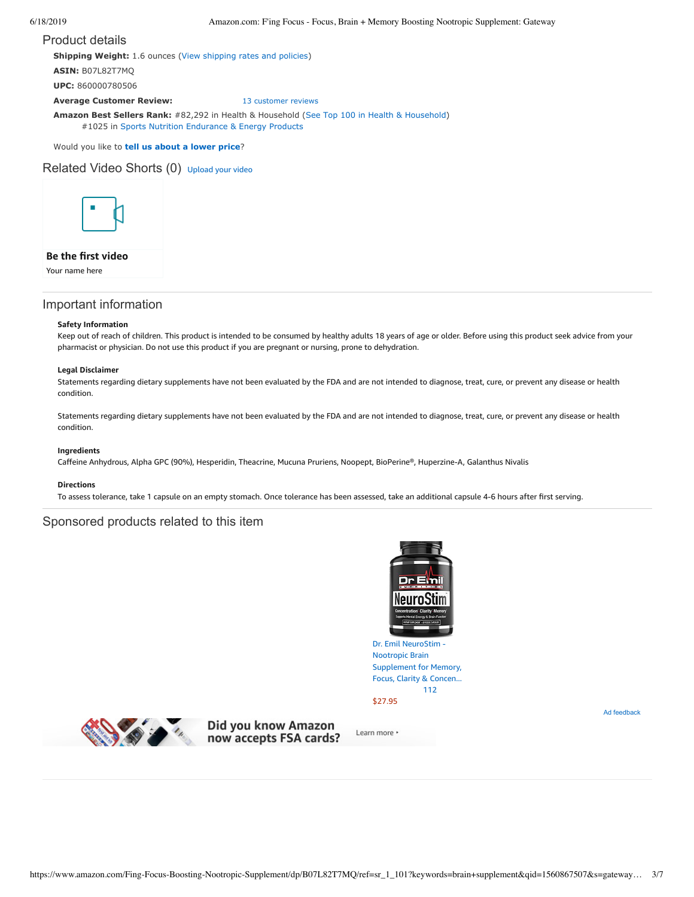### Product details

**Shipping Weight:** 1.6 ounces [\(View shipping rates and policies\)](https://www.amazon.com/gp/help/seller/shipping.html/ref=dp_pd_shipping?ie=UTF8&asin=B07L82T7MQ&seller=ATVPDKIKX0DER)

**ASIN:** B07L82T7MQ

**UPC:** 860000780506

**Average Customer Review:** [13 customer reviews](https://www.amazon.com/product-reviews/B07L82T7MQ/ref=acr_dpproductdetail_text?ie=UTF8&showViewpoints=1)

**Amazon Best Sellers Rank:** #82,292 in Health & Household ([See Top 100 in Health & Household\)](https://www.amazon.com/gp/bestsellers/hpc/ref=pd_zg_ts_hpc) #1025 in [Sports Nutrition Endurance & Energy Products](https://www.amazon.com/gp/bestsellers/hpc/6973669011/ref=pd_zg_hrsr_hpc)

Would you like to **tell us about a lower price**?

Related Video Shorts (0) [Upload](https://www.amazon.com/creatorhub/video/upload?productASIN=B07L82T7MQ&referringURL=ZHAvQjA3TDgyVDdNUQ%3D%3D&ref=RVSW) your video



### **Be the first video**

Your name here

# Important information

#### **Safety Information**

Keep out of reach of children. This product is intended to be consumed by healthy adults 18 years of age or older. Before using this product seek advice from your pharmacist or physician. Do not use this product if you are pregnant or nursing, prone to dehydration.

#### **Legal Disclaimer**

Statements regarding dietary supplements have not been evaluated by the FDA and are not intended to diagnose, treat, cure, or prevent any disease or health condition.

Statements regarding dietary supplements have not been evaluated by the FDA and are not intended to diagnose, treat, cure, or prevent any disease or health condition.

### **Ingredients**

Caffeine Anhydrous, Alpha GPC (90%), Hesperidin, Theacrine, Mucuna Pruriens, Noopept, BioPerine®, Huperzine-A, Galanthus Nivalis

### **Directions**

To assess tolerance, take 1 capsule on an empty stomach. Once tolerance has been assessed, take an additional capsule 4-6 hours after first serving.

### Sponsored products related to this item



Dr. Emil NeuroStim - Nootropic Brain [Supplement](https://www.amazon.com/gp/slredirect/picassoRedirect.html/ref=sspa_dk_detail_0?ie=UTF8&adId=A0728981283D9ILPE9LO2&qualifier=1560883934&id=3205972862619120&widgetName=sp_detail2&url=%2Fdp%2FB07KWSPP4L%2Fref%3Dsspa_dk_detail_0%3Fpsc%3D1) for Memory, Focus, Clarity & Concen... [112](https://www.amazon.com/gp/slredirect/picassoRedirect.html/ref=sspa_dk_detail_0?ie=UTF8&adId=A0728981283D9ILPE9LO2&qualifier=1560883934&id=3205972862619120&widgetName=sp_detail2&url=%2Fdp%2FB07KWSPP4L%2Fref%3Dsspa_dk_detail_0%3Fpsc%3D1#customerReviews)

\$27.95

Ad feedback



Did you know Amazon<br>now accepts FSA cards?

Learn more \*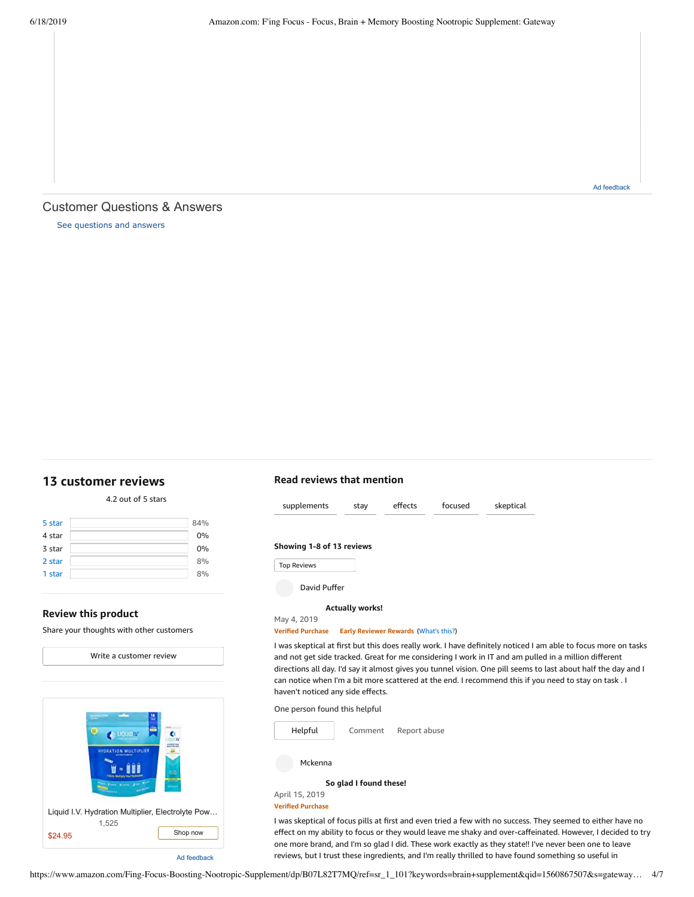# Customer Questions & Answers

[See questions and answers](https://www.amazon.com/ask/questions/asin/B07L82T7MQ/ref=cm_cd_dp_lla_ql_ll)

# <span id="page-3-0"></span>**[13 customer](https://www.amazon.com/Fing-Focus-Boosting-Nootropic-Supplement/product-reviews/B07L82T7MQ/ref=cm_cr_dp_d_show_all_top?ie=UTF8&reviewerType=all_reviews) reviews**

|        | 4.2 OUL OF 5 SLAFS |
|--------|--------------------|
| 5 star | 84%                |
| 4 star | 0%                 |
| 3 star | 0%                 |
| 2 star | 8%                 |

1 [star](https://www.amazon.com/Fing-Focus-Boosting-Nootropic-Supplement/product-reviews/B07L82T7MQ/ref=cm_cr_dp_d_hist_1?ie=UTF8&filterByStar=one_star&reviewerType=all_reviews#reviews-filter-bar) [8%](https://www.amazon.com/Fing-Focus-Boosting-Nootropic-Supplement/product-reviews/B07L82T7MQ/ref=cm_cr_dp_d_hist_1?ie=UTF8&filterByStar=one_star&reviewerType=all_reviews#reviews-filter-bar)

 $4.2 \times 10^{-1}$ 

### **Review this product**

Share your thoughts with other customers



# **Read reviews that mention**



I was skeptical at first but this does really work. I have definitely noticed I am able to focus more on tasks and not get side tracked. Great for me considering I work in IT and am pulled in a million different directions all day. I'd say it almost gives you tunnel vision. One pill seems to last about half the day and I can notice when I'm a bit more scattered at the end. I recommend this if you need to stay on task . I haven't noticed any side effects.

One person found this helpful



**[So glad](https://www.amazon.com/gp/customer-reviews/R28Q2OCYJ34KHU/ref=cm_cr_dp_d_rvw_ttl?ie=UTF8&ASIN=B07L82T7MQ) I found these!**

April 15, 2019 **Verified Purchase**

I was skeptical of focus pills at first and even tried a few with no success. They seemed to either have no effect on my ability to focus or they would leave me shaky and over-caffeinated. However, I decided to try one more brand, and I'm so glad I did. These work exactly as they state!! I've never been one to leave reviews, but I trust these ingredients, and I'm really thrilled to have found something so useful in

Ad feedback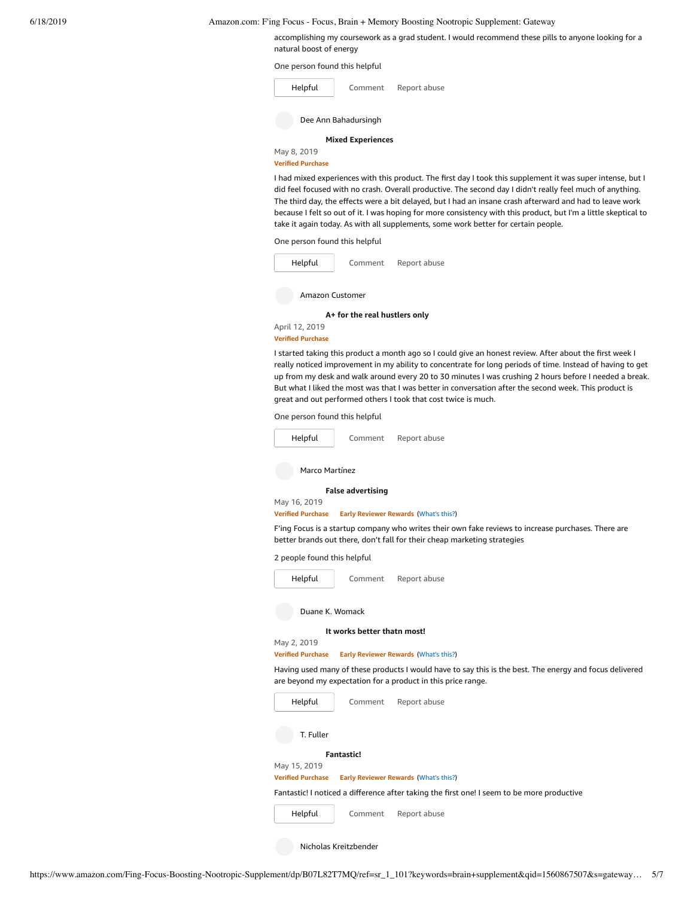accomplishing my coursework as a grad student. I would recommend these pills to anyone looking for a natural boost of energy

#### One person found this helpful

| Helpful                  | Comment | Report abuse |  |  |
|--------------------------|---------|--------------|--|--|
| Dee Ann Bahadursingh     |         |              |  |  |
| <b>Mixed Experiences</b> |         |              |  |  |
| May 8, 2019              |         |              |  |  |

#### **Verified Purchase**

I had mixed experiences with this product. The first day I took this supplement it was super intense, but I did feel focused with no crash. Overall productive. The second day I didn't really feel much of anything. The third day, the effects were a bit delayed, but I had an insane crash afterward and had to leave work because I felt so out of it. I was hoping for more consistency with this product, but I'm a little skeptical to take it again today. As with all supplements, some work better for certain people.

One person found this helpful

| Helpful         | Comment | Report abuse |  |  |
|-----------------|---------|--------------|--|--|
| Amazon Customer |         |              |  |  |

**A+ for the real [hustlers](https://www.amazon.com/gp/customer-reviews/R20XMFVEPHFZB3/ref=cm_cr_dp_d_rvw_ttl?ie=UTF8&ASIN=B07L82T7MQ) only**

April 12, 2019

#### **Verified Purchase**

I started taking this product a month ago so I could give an honest review. After about the first week I really noticed improvement in my ability to concentrate for long periods of time. Instead of having to get up from my desk and walk around every 20 to 30 minutes I was crushing 2 hours before I needed a break. But what I liked the most was that I was better in conversation after the second week. This product is great and out performed others I took that cost twice is much.

One person found this helpful



T. Fuller

#### **[Fantastic!](https://www.amazon.com/gp/customer-reviews/R17XDH607HITRU/ref=cm_cr_dp_d_rvw_ttl?ie=UTF8&ASIN=B07L82T7MQ)**

# May 15, 2019

**Verified Purchase Early Reviewer Rewards** ([What's](https://www.amazon.com/earlyreviewerprogram?ie=UTF8) this?)

Fantastic! I noticed a difference after taking the first one! I seem to be more productive

[Comment](https://www.amazon.com/gp/customer-reviews/R17XDH607HITRU/ref=cm_cr_dp_d_rvw_btm?ie=UTF8&ASIN=B07L82T7MQ#wasThisHelpful) [Report](https://www.amazon.com/hz/reviews-render/report-abuse?ie=UTF8&voteDomain=Reviews&ref=cm_cr_dp_d_rvw_hlp&csrfT=gu3HBqQ8wDFXs7YPalqj58GJTwM2TISe%2Bvlj%2BKcAAAABAAAAAF0JMt5yYXcAAAAA%2B4kUEk%2F7iMGR3xPcX6iU&entityId=R17XDH607HITRU&sessionId=143-6729050-3493109) abuse [Helpful](https://www.amazon.com/ap/signin?openid.return_to=https%3A%2F%2Fwww.amazon.com%2Fdp%2FB07L82T7MQ%2Fref%3Dcm_cr_dp_d_vote_lft%3Fie%3DUTF8%26voteInstanceId%3DR17XDH607HITRU%26voteValue%3D1%26csrfT%3Dgu3HBqQ8wDFXs7YPalqj58GJTwM2TISe%252Bvlj%252BKcAAAABAAAAAF0JMt5yYXcAAAAA%252B4kUEk%252F7iMGR3xPcX6iU%23R17XDH607HITRU&openid.identity=http%3A%2F%2Fspecs.openid.net%2Fauth%2F2.0%2Fidentifier_select&openid.claimed_id=http%3A%2F%2Fspecs.openid.net%2Fauth%2F2.0%2Fidentifier_select&openid.assoc_handle=usflex&openid.mode=checkid_setup&openid.ns=http%3A%2F%2Fspecs.openid.net%2Fauth%2F2.0)

Nicholas Kreitzbender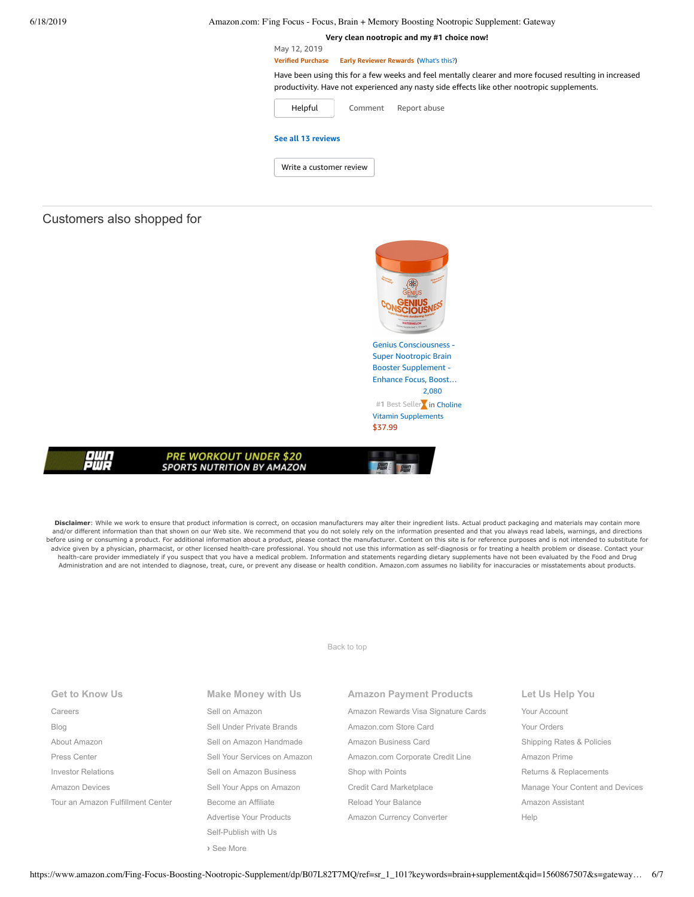**Very clean [nootropic](https://www.amazon.com/gp/customer-reviews/R2UU7JMJIT5DLS/ref=cm_cr_dp_d_rvw_ttl?ie=UTF8&ASIN=B07L82T7MQ) and my #1 choice now!** May 12, 2019 **Verified Purchase Early Reviewer Rewards** ([What's](https://www.amazon.com/earlyreviewerprogram?ie=UTF8) this?) [Comment](https://www.amazon.com/gp/customer-reviews/R2UU7JMJIT5DLS/ref=cm_cr_dp_d_rvw_btm?ie=UTF8&ASIN=B07L82T7MQ#wasThisHelpful) [Report](https://www.amazon.com/hz/reviews-render/report-abuse?ie=UTF8&voteDomain=Reviews&ref=cm_cr_dp_d_rvw_hlp&csrfT=gn9uAS%2BV3YwBTr7M2eVCnMhefIhmeBZNZQo1UFEAAAABAAAAAF0JMt5yYXcAAAAA%2B4kUEk%2F7iMGR3xPcX6iU&entityId=R2UU7JMJIT5DLS&sessionId=143-6729050-3493109) abuse Have been using this for a few weeks and feel mentally clearer and more focused resulting in increased productivity. Have not experienced any nasty side effects like other nootropic supplements. [Helpful](https://www.amazon.com/ap/signin?openid.return_to=https%3A%2F%2Fwww.amazon.com%2Fdp%2FB07L82T7MQ%2Fref%3Dcm_cr_dp_d_vote_lft%3Fie%3DUTF8%26voteInstanceId%3DR2UU7JMJIT5DLS%26voteValue%3D1%26csrfT%3Dgn9uAS%252BV3YwBTr7M2eVCnMhefIhmeBZNZQo1UFEAAAABAAAAAF0JMt5yYXcAAAAA%252B4kUEk%252F7iMGR3xPcX6iU%23R2UU7JMJIT5DLS&openid.identity=http%3A%2F%2Fspecs.openid.net%2Fauth%2F2.0%2Fidentifier_select&openid.claimed_id=http%3A%2F%2Fspecs.openid.net%2Fauth%2F2.0%2Fidentifier_select&openid.assoc_handle=usflex&openid.mode=checkid_setup&openid.ns=http%3A%2F%2Fspecs.openid.net%2Fauth%2F2.0) **See all 13 [reviews](https://www.amazon.com/Fing-Focus-Boosting-Nootropic-Supplement/product-reviews/B07L82T7MQ/ref=cm_cr_dp_d_show_all_btm?ie=UTF8&reviewerType=all_reviews)** Write a [customer](https://www.amazon.com/review/create-review/ref=cm_cr_dp_d_wr_but_btm?ie=UTF8&channel=glance-detail&asin=B07L82T7MQ) review

### Customers also shopped for

909



Disclaimer: While we work to ensure that product information is correct, on occasion manufacturers may alter their ingredient lists. Actual product packaging and materials may contain more and/or different information than that shown on our Web site. We recommend that you do not solely rely on the information presented and that you always read labels, warnings, and directions before using or consuming a product. For additional information about a product, please contact the manufacturer. Content on this site is for reference purposes and is not intended to substitute for advice given by a physician, pharmacist, or other licensed health-care professional. You should not use this information as self-diagnosis or for treating a health problem or disease. Contact your health-care provider immediately if you suspect that you have a medical problem. Information and statements regarding dietary supplements have not been evaluated by the Food and Drug Administration and are not intended to diagnose, treat, cure, or prevent any disease or health condition. Amazon.com assumes no liability for inaccuracies or misstatements about products.

[Back to top](#page-0-0)

| <b>Get to Know Us</b>             | <b>Make Money with Us</b>    |   |
|-----------------------------------|------------------------------|---|
| Careers                           | Sell on Amazon               | ŀ |
| Blog                              | Sell Under Private Brands    | ŀ |
| About Amazon                      | Sell on Amazon Handmade      | ŀ |
| Press Center                      | Sell Your Services on Amazon | ŀ |
| <b>Investor Relations</b>         | Sell on Amazon Business      | S |
| <b>Amazon Devices</b>             | Sell Your Apps on Amazon     | C |
| Tour an Amazon Fulfillment Center | Become an Affiliate          | F |
|                                   | Advertise Your Products      | ŀ |
|                                   | Self-Publish with Us         |   |
|                                   |                              |   |

**›** [See More](https://www.amazon.com/b/?_encoding=UTF8&ld=AZUSSOA-seemore&node=18190131011&ref_=footer_seemore)

**SPORTS NUTRITION BY AMAZON** 

**Amazon Payment Products** [Amazon Rewards Visa Signature Cards](https://www.amazon.com/iss/credit/rewardscardmember?_encoding=UTF8&plattr=CBFOOT&ref_=footer_cbcc) [Amazon.com Store Card](https://www.amazon.com/iss/credit/storecardmember?_encoding=UTF8&plattr=PLCCFOOT&ref_=footer_plcc) [Amazon Business Card](https://www.amazon.com/dp/B07984JN3L?_encoding=UTF8&ie=UTF-8&plattr=ACOMFO) [Amazon.com Corporate Credit Line](https://www.amazon.com/dp/B07CBJQS16?_encoding=UTF8&ie=UTF-8&place=camp&plattr=CCLFOOT&pr=ibprox&ref_=footer_ccl) [Shop with Points](https://www.amazon.com/b?ie=UTF8&node=16218619011&ref_=footer_swp) [Credit Card Marketplace](https://www.amazon.com/compare-credit-card-offers/b?ie=UTF8&node=3561432011&ref_=footer_ccmp) [Reload Your Balance](https://www.amazon.com/Reload-Your-Gift-Card-Balance/b?ie=UTF8&node=10232440011&ref_=footer_reload_us) [Amazon Currency Converter](https://www.amazon.com/Currency-Converter/b?ie=UTF8&node=388305011&ref_=footer_tfx)

**Let Us Help You** [Your Account](https://www.amazon.com/gp/css/homepage.html?ie=UTF8&ref_=footer_ya) [Your Orders](https://www.amazon.com/gp/css/order-history?ie=UTF8&ref_=footer_yo) [Shipping Rates & Policies](https://www.amazon.com/gp/help/customer/display.html?ie=UTF8&nodeId=468520&ref_=footer_shiprates) [Amazon Prime](https://www.amazon.com/gp/prime?ie=UTF8&ref_=footer_prime) [Returns & Replacements](https://www.amazon.com/gp/css/returns/homepage.html?ie=UTF8&ref_=footer_hy_f_4) [Manage Your Content and Devices](https://www.amazon.com/gp/digital/fiona/manage?ie=UTF8&ref_=footer_myk) [Amazon Assistant](https://www.amazon.com/gp/BIT/ref=footer_bit_v2_us_A0029?bitCampaignCode=A0029) [Help](https://www.amazon.com/gp/help/customer/display.html?ie=UTF8&nodeId=508510&ref_=footer_gw_m_b_he)